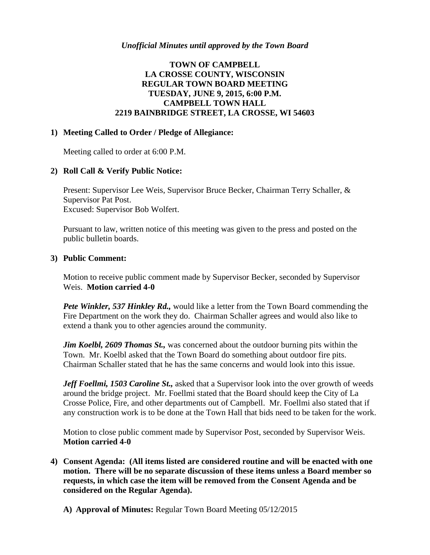# **TOWN OF CAMPBELL LA CROSSE COUNTY, WISCONSIN REGULAR TOWN BOARD MEETING TUESDAY, JUNE 9, 2015, 6:00 P.M. CAMPBELL TOWN HALL 2219 BAINBRIDGE STREET, LA CROSSE, WI 54603**

## **1) Meeting Called to Order / Pledge of Allegiance:**

Meeting called to order at 6:00 P.M.

## **2) Roll Call & Verify Public Notice:**

Present: Supervisor Lee Weis, Supervisor Bruce Becker, Chairman Terry Schaller, & Supervisor Pat Post. Excused: Supervisor Bob Wolfert.

Pursuant to law, written notice of this meeting was given to the press and posted on the public bulletin boards.

## **3) Public Comment:**

Motion to receive public comment made by Supervisor Becker, seconded by Supervisor Weis. **Motion carried 4-0**

*Pete Winkler, 537 Hinkley Rd., would like a letter from the Town Board commending the* Fire Department on the work they do. Chairman Schaller agrees and would also like to extend a thank you to other agencies around the community.

*Jim Koelbl, 2609 Thomas St.,* was concerned about the outdoor burning pits within the Town. Mr. Koelbl asked that the Town Board do something about outdoor fire pits. Chairman Schaller stated that he has the same concerns and would look into this issue.

*Jeff Foellmi, 1503 Caroline St., asked that a Supervisor look into the over growth of weeds* around the bridge project. Mr. Foellmi stated that the Board should keep the City of La Crosse Police, Fire, and other departments out of Campbell. Mr. Foellmi also stated that if any construction work is to be done at the Town Hall that bids need to be taken for the work.

Motion to close public comment made by Supervisor Post, seconded by Supervisor Weis. **Motion carried 4-0**

- **4) Consent Agenda: (All items listed are considered routine and will be enacted with one motion. There will be no separate discussion of these items unless a Board member so requests, in which case the item will be removed from the Consent Agenda and be considered on the Regular Agenda).**
	- **A) Approval of Minutes:** Regular Town Board Meeting 05/12/2015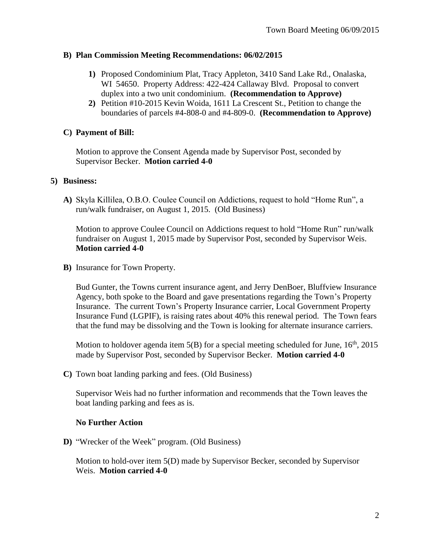## **B) Plan Commission Meeting Recommendations: 06/02/2015**

- **1)** Proposed Condominium Plat, Tracy Appleton, 3410 Sand Lake Rd., Onalaska, WI 54650. Property Address: 422-424 Callaway Blvd. Proposal to convert duplex into a two unit condominium. **(Recommendation to Approve)**
- **2)** Petition #10-2015 Kevin Woida, 1611 La Crescent St., Petition to change the boundaries of parcels #4-808-0 and #4-809-0. **(Recommendation to Approve)**

## **C) Payment of Bill:**

Motion to approve the Consent Agenda made by Supervisor Post, seconded by Supervisor Becker. **Motion carried 4-0**

### **5) Business:**

**A)** Skyla Killilea, O.B.O. Coulee Council on Addictions, request to hold "Home Run", a run/walk fundraiser, on August 1, 2015. (Old Business)

Motion to approve Coulee Council on Addictions request to hold "Home Run" run/walk fundraiser on August 1, 2015 made by Supervisor Post, seconded by Supervisor Weis. **Motion carried 4-0**

**B)** Insurance for Town Property.

Bud Gunter, the Towns current insurance agent, and Jerry DenBoer, Bluffview Insurance Agency, both spoke to the Board and gave presentations regarding the Town's Property Insurance. The current Town's Property Insurance carrier, Local Government Property Insurance Fund (LGPIF), is raising rates about 40% this renewal period. The Town fears that the fund may be dissolving and the Town is looking for alternate insurance carriers.

Motion to holdover agenda item  $5(B)$  for a special meeting scheduled for June,  $16<sup>th</sup>$ , 2015 made by Supervisor Post, seconded by Supervisor Becker. **Motion carried 4-0**

**C)** Town boat landing parking and fees. (Old Business)

Supervisor Weis had no further information and recommends that the Town leaves the boat landing parking and fees as is.

## **No Further Action**

**D)** "Wrecker of the Week" program. (Old Business)

Motion to hold-over item 5(D) made by Supervisor Becker, seconded by Supervisor Weis. **Motion carried 4-0**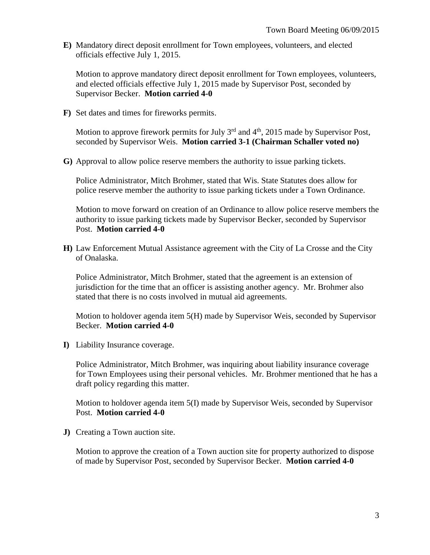**E)** Mandatory direct deposit enrollment for Town employees, volunteers, and elected officials effective July 1, 2015.

Motion to approve mandatory direct deposit enrollment for Town employees, volunteers, and elected officials effective July 1, 2015 made by Supervisor Post, seconded by Supervisor Becker. **Motion carried 4-0**

**F)** Set dates and times for fireworks permits.

Motion to approve firework permits for July  $3<sup>rd</sup>$  and  $4<sup>th</sup>$ , 2015 made by Supervisor Post, seconded by Supervisor Weis. **Motion carried 3-1 (Chairman Schaller voted no)**

**G)** Approval to allow police reserve members the authority to issue parking tickets.

Police Administrator, Mitch Brohmer, stated that Wis. State Statutes does allow for police reserve member the authority to issue parking tickets under a Town Ordinance.

Motion to move forward on creation of an Ordinance to allow police reserve members the authority to issue parking tickets made by Supervisor Becker, seconded by Supervisor Post. **Motion carried 4-0**

**H)** Law Enforcement Mutual Assistance agreement with the City of La Crosse and the City of Onalaska.

Police Administrator, Mitch Brohmer, stated that the agreement is an extension of jurisdiction for the time that an officer is assisting another agency. Mr. Brohmer also stated that there is no costs involved in mutual aid agreements.

Motion to holdover agenda item 5(H) made by Supervisor Weis, seconded by Supervisor Becker. **Motion carried 4-0**

**I)** Liability Insurance coverage.

Police Administrator, Mitch Brohmer, was inquiring about liability insurance coverage for Town Employees using their personal vehicles. Mr. Brohmer mentioned that he has a draft policy regarding this matter.

Motion to holdover agenda item 5(I) made by Supervisor Weis, seconded by Supervisor Post. **Motion carried 4-0**

**J)** Creating a Town auction site.

Motion to approve the creation of a Town auction site for property authorized to dispose of made by Supervisor Post, seconded by Supervisor Becker. **Motion carried 4-0**